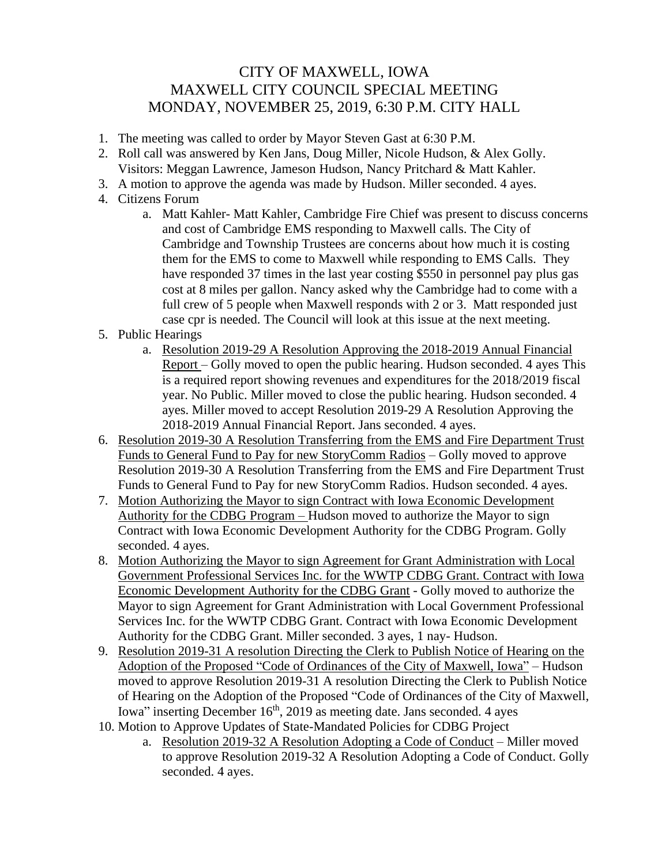## CITY OF MAXWELL, IOWA MAXWELL CITY COUNCIL SPECIAL MEETING MONDAY, NOVEMBER 25, 2019, 6:30 P.M. CITY HALL

- 1. The meeting was called to order by Mayor Steven Gast at 6:30 P.M.
- 2. Roll call was answered by Ken Jans, Doug Miller, Nicole Hudson, & Alex Golly. Visitors: Meggan Lawrence, Jameson Hudson, Nancy Pritchard & Matt Kahler.
- 3. A motion to approve the agenda was made by Hudson. Miller seconded. 4 ayes.
- 4. Citizens Forum
	- a. Matt Kahler- Matt Kahler, Cambridge Fire Chief was present to discuss concerns and cost of Cambridge EMS responding to Maxwell calls. The City of Cambridge and Township Trustees are concerns about how much it is costing them for the EMS to come to Maxwell while responding to EMS Calls. They have responded 37 times in the last year costing \$550 in personnel pay plus gas cost at 8 miles per gallon. Nancy asked why the Cambridge had to come with a full crew of 5 people when Maxwell responds with 2 or 3. Matt responded just case cpr is needed. The Council will look at this issue at the next meeting.
- 5. Public Hearings
	- a. Resolution 2019-29 A Resolution Approving the 2018-2019 Annual Financial Report – Golly moved to open the public hearing. Hudson seconded. 4 ayes This is a required report showing revenues and expenditures for the 2018/2019 fiscal year. No Public. Miller moved to close the public hearing. Hudson seconded. 4 ayes. Miller moved to accept Resolution 2019-29 A Resolution Approving the 2018-2019 Annual Financial Report. Jans seconded. 4 ayes.
- 6. Resolution 2019-30 A Resolution Transferring from the EMS and Fire Department Trust Funds to General Fund to Pay for new StoryComm Radios – Golly moved to approve Resolution 2019-30 A Resolution Transferring from the EMS and Fire Department Trust Funds to General Fund to Pay for new StoryComm Radios. Hudson seconded. 4 ayes.
- 7. Motion Authorizing the Mayor to sign Contract with Iowa Economic Development Authority for the CDBG Program – Hudson moved to authorize the Mayor to sign Contract with Iowa Economic Development Authority for the CDBG Program. Golly seconded. 4 ayes.
- 8. Motion Authorizing the Mayor to sign Agreement for Grant Administration with Local Government Professional Services Inc. for the WWTP CDBG Grant. Contract with Iowa Economic Development Authority for the CDBG Grant - Golly moved to authorize the Mayor to sign Agreement for Grant Administration with Local Government Professional Services Inc. for the WWTP CDBG Grant. Contract with Iowa Economic Development Authority for the CDBG Grant. Miller seconded. 3 ayes, 1 nay- Hudson.
- 9. Resolution 2019-31 A resolution Directing the Clerk to Publish Notice of Hearing on the Adoption of the Proposed "Code of Ordinances of the City of Maxwell, Iowa" – Hudson moved to approve Resolution 2019-31 A resolution Directing the Clerk to Publish Notice of Hearing on the Adoption of the Proposed "Code of Ordinances of the City of Maxwell, Iowa" inserting December  $16<sup>th</sup>$ , 2019 as meeting date. Jans seconded. 4 ayes
- 10. Motion to Approve Updates of State-Mandated Policies for CDBG Project
	- a. Resolution 2019-32 A Resolution Adopting a Code of Conduct Miller moved to approve Resolution 2019-32 A Resolution Adopting a Code of Conduct. Golly seconded. 4 ayes.